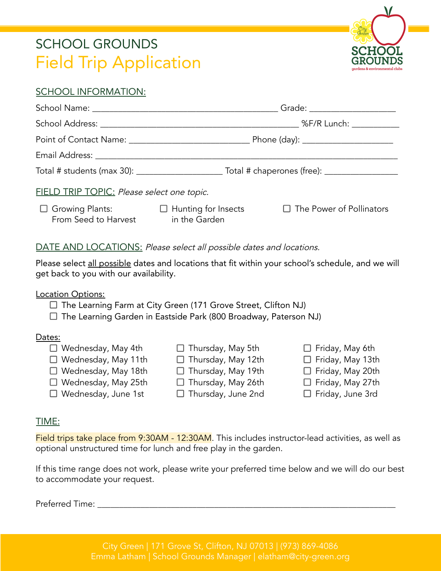# SCHOOL GROUNDS Field Trip Application



#### SCHOOL INFORMATION:

|                                                                               |  | Grade: _____________________                                                                         |
|-------------------------------------------------------------------------------|--|------------------------------------------------------------------------------------------------------|
|                                                                               |  | %F/R Lunch: ___________                                                                              |
|                                                                               |  |                                                                                                      |
|                                                                               |  |                                                                                                      |
|                                                                               |  | Total # students (max 30): _____________________________Total # chaperones (free): _________________ |
| FIELD TRIP TOPIC: Please select one topic.                                    |  |                                                                                                      |
| □ Growing Plants: □ Hunting for Insects<br>From Seed to Harvest in the Garden |  | $\Box$ The Power of Pollinators                                                                      |

#### DATE AND LOCATIONS: Please select all possible dates and locations.

Please select all possible dates and locations that fit within your school's schedule, and we will get back to you with our availability.

Location Options:

- $\Box$  The Learning Farm at City Green (171 Grove Street, Clifton NJ)
- $\Box$  The Learning Garden in Eastside Park (800 Broadway, Paterson NJ)

#### Dates:

 $\Box$  Wednesday, May 4th Wednesday, May 11th Wednesday, May 18th Wednesday, May 25th Wednesday, June 1st  $\Box$  Thursday, May 5th  $\Box$  Thursday, May 12th  $\Box$  Thursday, May 19th  $\Box$  Thursday, May 26th  $\Box$  Thursday, June 2nd  $\Box$  Friday, May 6th  $\Box$  Friday, May 13th  $\Box$  Friday, May 20th  $\Box$  Friday, May 27th  $\Box$  Friday, June 3rd

#### TIME:

Field trips take place from 9:30AM - 12:30AM. This includes instructor-lead activities, as well as optional unstructured time for lunch and free play in the garden.

If this time range does not work, please write your preferred time below and we will do our best to accommodate your request.

Preferred Time: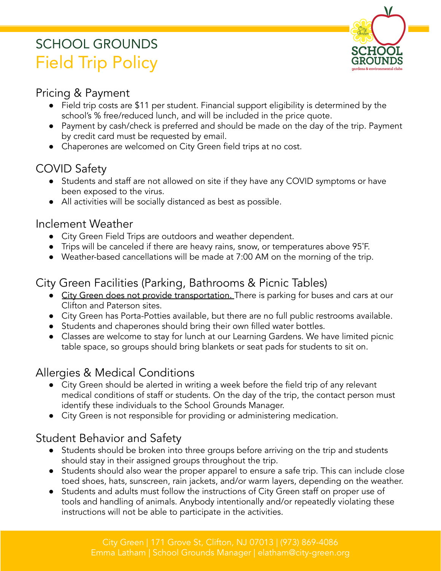# SCHOOL GROUNDS Field Trip Policy



### Pricing & Payment

- Field trip costs are \$11 per student. Financial support eligibility is determined by the school's % free/reduced lunch, and will be included in the price quote.
- Payment by cash/check is preferred and should be made on the day of the trip. Payment by credit card must be requested by email.
- Chaperones are welcomed on City Green field trips at no cost.

# COVID Safety

- Students and staff are not allowed on site if they have any COVID symptoms or have been exposed to the virus.
- All activities will be socially distanced as best as possible.

### Inclement Weather

- City Green Field Trips are outdoors and weather dependent.
- Trips will be canceled if there are heavy rains, snow, or temperatures above 95˚F.
- Weather-based cancellations will be made at 7:00 AM on the morning of the trip.

## City Green Facilities (Parking, Bathrooms & Picnic Tables)

- City Green does not provide transportation. There is parking for buses and cars at our Clifton and Paterson sites.
- City Green has Porta-Potties available, but there are no full public restrooms available.
- Students and chaperones should bring their own filled water bottles.
- Classes are welcome to stay for lunch at our Learning Gardens. We have limited picnic table space, so groups should bring blankets or seat pads for students to sit on.

# Allergies & Medical Conditions

- City Green should be alerted in writing a week before the field trip of any relevant medical conditions of staff or students. On the day of the trip, the contact person must identify these individuals to the School Grounds Manager.
- City Green is not responsible for providing or administering medication.

# Student Behavior and Safety

- Students should be broken into three groups before arriving on the trip and students should stay in their assigned groups throughout the trip.
- Students should also wear the proper apparel to ensure a safe trip. This can include close toed shoes, hats, sunscreen, rain jackets, and/or warm layers, depending on the weather.
- Students and adults must follow the instructions of City Green staff on proper use of tools and handling of animals. Anybody intentionally and/or repeatedly violating these instructions will not be able to participate in the activities.